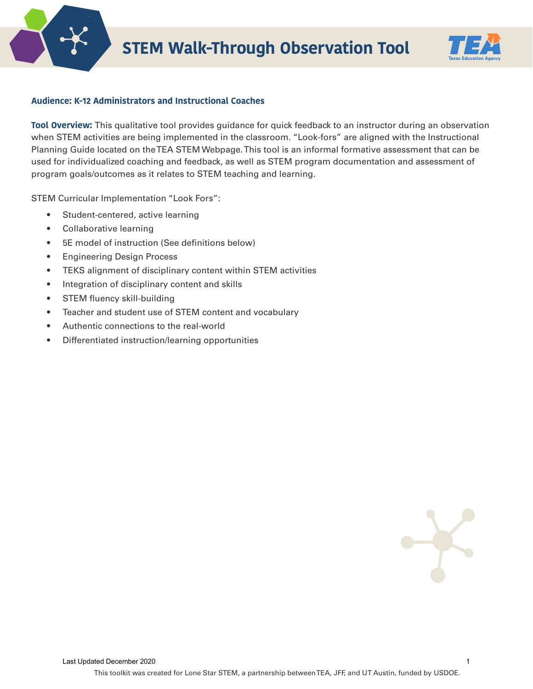



## **Audience: K-12 Administrators and Instructional Coaches**

**Tool Overview:** This qualitative tool provides guidance for quick feedback to an instructor during an observation when STEM activities are being implemented in the classroom. "Look-fors" are aligned with the Instructional Planning Guide located on the TEA STEM Webpage. This tool is an informal formative assessment that can be used for individualized coaching and feedback, as well as STEM program documentation and assessment of program goals/outcomes as it relates to STEM teaching and learning.

STEM Curricular Implementation "Look Fors":

- Student-centered, active learning
- Collaborative learning
- 5E model of instruction (See definitions below)
- Engineering Design Process
- TEKS alignment of disciplinary content within STEM activities
- Integration of disciplinary content and skills
- STEM fluency skill-building
- Teacher and student use of STEM content and vocabulary
- Authentic connections to the real-world
- Differentiated instruction/learning opportunities

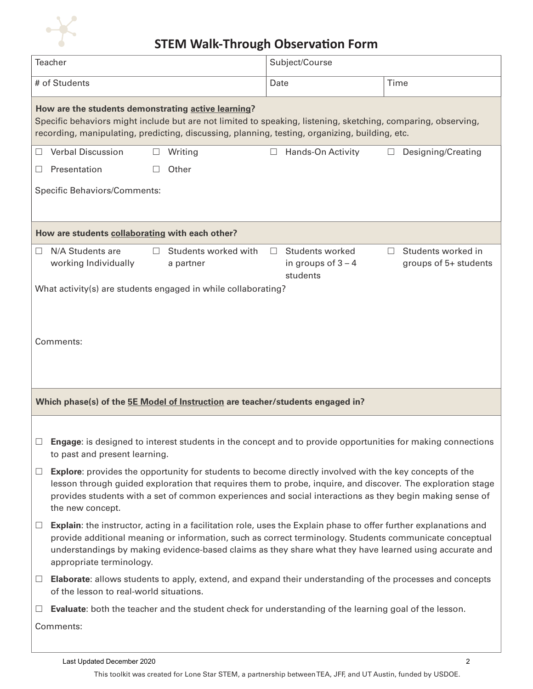

## **STEM Walk-Through Observation Form**

| Teacher                                                                                                                                                                                                                                                                |                                                                                                                                                                                                                                                                                                                                                                   |   |                                                                                | Subject/Course |                                                     |      |                                             |  |
|------------------------------------------------------------------------------------------------------------------------------------------------------------------------------------------------------------------------------------------------------------------------|-------------------------------------------------------------------------------------------------------------------------------------------------------------------------------------------------------------------------------------------------------------------------------------------------------------------------------------------------------------------|---|--------------------------------------------------------------------------------|----------------|-----------------------------------------------------|------|---------------------------------------------|--|
| # of Students                                                                                                                                                                                                                                                          |                                                                                                                                                                                                                                                                                                                                                                   |   |                                                                                | Date           |                                                     | Time |                                             |  |
| How are the students demonstrating active learning?<br>Specific behaviors might include but are not limited to speaking, listening, sketching, comparing, observing,<br>recording, manipulating, predicting, discussing, planning, testing, organizing, building, etc. |                                                                                                                                                                                                                                                                                                                                                                   |   |                                                                                |                |                                                     |      |                                             |  |
| Ш                                                                                                                                                                                                                                                                      | <b>Verbal Discussion</b>                                                                                                                                                                                                                                                                                                                                          | ш | Writing                                                                        | ⊔              | Hands-On Activity                                   | ш    | Designing/Creating                          |  |
| $\Box$                                                                                                                                                                                                                                                                 | Presentation                                                                                                                                                                                                                                                                                                                                                      |   | Other                                                                          |                |                                                     |      |                                             |  |
| <b>Specific Behaviors/Comments:</b>                                                                                                                                                                                                                                    |                                                                                                                                                                                                                                                                                                                                                                   |   |                                                                                |                |                                                     |      |                                             |  |
| How are students collaborating with each other?                                                                                                                                                                                                                        |                                                                                                                                                                                                                                                                                                                                                                   |   |                                                                                |                |                                                     |      |                                             |  |
| ш                                                                                                                                                                                                                                                                      | N/A Students are<br>working Individually                                                                                                                                                                                                                                                                                                                          | П | Students worked with<br>a partner                                              | $\Box$         | Students worked<br>in groups of $3 - 4$<br>students | П    | Students worked in<br>groups of 5+ students |  |
| What activity(s) are students engaged in while collaborating?                                                                                                                                                                                                          |                                                                                                                                                                                                                                                                                                                                                                   |   |                                                                                |                |                                                     |      |                                             |  |
|                                                                                                                                                                                                                                                                        |                                                                                                                                                                                                                                                                                                                                                                   |   |                                                                                |                |                                                     |      |                                             |  |
|                                                                                                                                                                                                                                                                        |                                                                                                                                                                                                                                                                                                                                                                   |   |                                                                                |                |                                                     |      |                                             |  |
|                                                                                                                                                                                                                                                                        | Comments:                                                                                                                                                                                                                                                                                                                                                         |   |                                                                                |                |                                                     |      |                                             |  |
|                                                                                                                                                                                                                                                                        |                                                                                                                                                                                                                                                                                                                                                                   |   |                                                                                |                |                                                     |      |                                             |  |
|                                                                                                                                                                                                                                                                        |                                                                                                                                                                                                                                                                                                                                                                   |   | Which phase(s) of the 5E Model of Instruction are teacher/students engaged in? |                |                                                     |      |                                             |  |
|                                                                                                                                                                                                                                                                        |                                                                                                                                                                                                                                                                                                                                                                   |   |                                                                                |                |                                                     |      |                                             |  |
|                                                                                                                                                                                                                                                                        | Engage: is designed to interest students in the concept and to provide opportunities for making connections<br>to past and present learning.                                                                                                                                                                                                                      |   |                                                                                |                |                                                     |      |                                             |  |
| $\Box$                                                                                                                                                                                                                                                                 | <b>Explore:</b> provides the opportunity for students to become directly involved with the key concepts of the<br>lesson through guided exploration that requires them to probe, inquire, and discover. The exploration stage<br>provides students with a set of common experiences and social interactions as they begin making sense of<br>the new concept.     |   |                                                                                |                |                                                     |      |                                             |  |
| $\Box$                                                                                                                                                                                                                                                                 | Explain: the instructor, acting in a facilitation role, uses the Explain phase to offer further explanations and<br>provide additional meaning or information, such as correct terminology. Students communicate conceptual<br>understandings by making evidence-based claims as they share what they have learned using accurate and<br>appropriate terminology. |   |                                                                                |                |                                                     |      |                                             |  |
| $\begin{array}{c} \hline \end{array}$                                                                                                                                                                                                                                  | Elaborate: allows students to apply, extend, and expand their understanding of the processes and concepts<br>of the lesson to real-world situations.                                                                                                                                                                                                              |   |                                                                                |                |                                                     |      |                                             |  |
| ⊔                                                                                                                                                                                                                                                                      | Evaluate: both the teacher and the student check for understanding of the learning goal of the lesson.                                                                                                                                                                                                                                                            |   |                                                                                |                |                                                     |      |                                             |  |
|                                                                                                                                                                                                                                                                        | Comments:                                                                                                                                                                                                                                                                                                                                                         |   |                                                                                |                |                                                     |      |                                             |  |
|                                                                                                                                                                                                                                                                        |                                                                                                                                                                                                                                                                                                                                                                   |   |                                                                                |                |                                                     |      |                                             |  |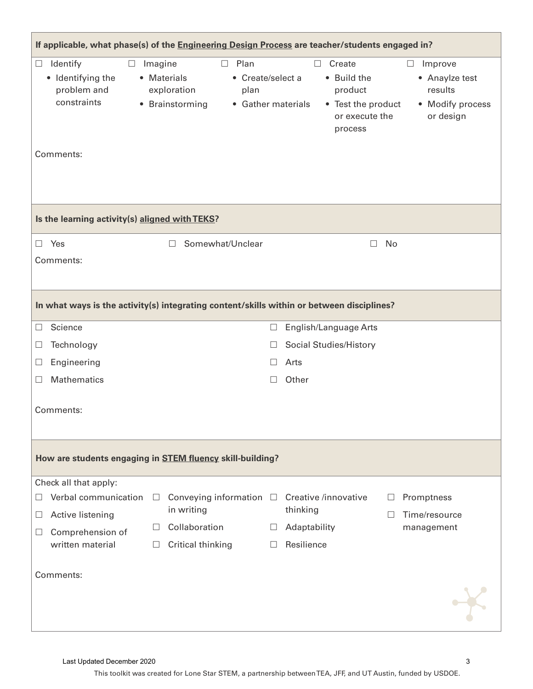| If applicable, what phase(s) of the Engineering Design Process are teacher/students engaged in?                                            |                                                                                                              |                                                                                                                                                                                                                             |  |  |  |  |  |  |  |  |
|--------------------------------------------------------------------------------------------------------------------------------------------|--------------------------------------------------------------------------------------------------------------|-----------------------------------------------------------------------------------------------------------------------------------------------------------------------------------------------------------------------------|--|--|--|--|--|--|--|--|
| Identify<br>$\Box$<br>$\Box$<br>• Identifying the<br>problem and<br>constraints<br>$\bullet$<br>Comments:                                  | Plan<br>Imagine<br>$\Box$<br>• Materials<br>exploration<br>plan<br>Brainstorming                             | Create<br>Improve<br>$\Box$<br>$\Box$<br>• Create/select a<br>• Build the<br>• Anaylze test<br>results<br>product<br>• Gather materials<br>• Test the product<br>• Modify process<br>or execute the<br>or design<br>process |  |  |  |  |  |  |  |  |
|                                                                                                                                            |                                                                                                              |                                                                                                                                                                                                                             |  |  |  |  |  |  |  |  |
| Is the learning activity(s) aligned with TEKS?                                                                                             |                                                                                                              |                                                                                                                                                                                                                             |  |  |  |  |  |  |  |  |
| $\Box$ Yes<br>Comments:                                                                                                                    | Somewhat/Unclear<br>П.                                                                                       | No<br>$\Box$                                                                                                                                                                                                                |  |  |  |  |  |  |  |  |
| In what ways is the activity(s) integrating content/skills within or between disciplines?                                                  |                                                                                                              |                                                                                                                                                                                                                             |  |  |  |  |  |  |  |  |
| Science<br>$\mathcal{L}$                                                                                                                   |                                                                                                              | English/Language Arts<br>$\Box$                                                                                                                                                                                             |  |  |  |  |  |  |  |  |
| Technology<br>$\Box$                                                                                                                       |                                                                                                              | Social Studies/History<br>$\Box$                                                                                                                                                                                            |  |  |  |  |  |  |  |  |
| Engineering<br>Ш                                                                                                                           |                                                                                                              | Arts<br>$\perp$                                                                                                                                                                                                             |  |  |  |  |  |  |  |  |
| Mathematics<br>$\mathcal{L}$                                                                                                               |                                                                                                              | Other<br>$\Box$                                                                                                                                                                                                             |  |  |  |  |  |  |  |  |
| Comments:                                                                                                                                  |                                                                                                              |                                                                                                                                                                                                                             |  |  |  |  |  |  |  |  |
| How are students engaging in STEM fluency skill-building?                                                                                  |                                                                                                              |                                                                                                                                                                                                                             |  |  |  |  |  |  |  |  |
| Check all that apply:<br>Verbal communication<br>Active listening<br>$\Box$<br>Comprehension of<br>$\Box$<br>written material<br>Comments: | Conveying information $\square$<br>П<br>in writing<br>Collaboration<br>$\Box$<br>Critical thinking<br>$\Box$ | Creative /innovative<br>Promptness<br>thinking<br>Time/resource<br>Adaptability<br>management<br>$\Box$<br>Resilience<br>$\Box$                                                                                             |  |  |  |  |  |  |  |  |
|                                                                                                                                            |                                                                                                              |                                                                                                                                                                                                                             |  |  |  |  |  |  |  |  |